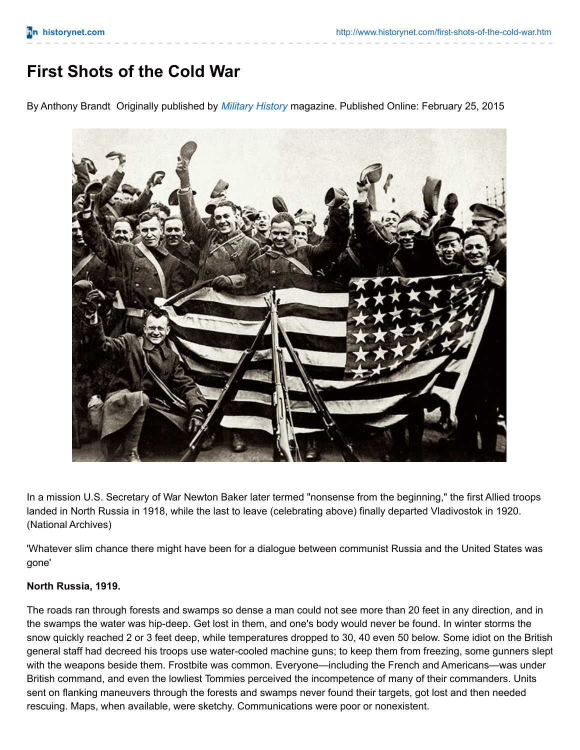## **First Shots of the Cold War**

By Anthony Brandt Originally published by *[Military](http://www.historynet.com/military-history) History* magazine. Published Online: February 25, 2015



In a mission U.S. Secretary of War Newton Baker later termed "nonsense from the beginning," the first Allied troops landed in North Russia in 1918, while the last to leave (celebrating above) finally departed Vladivostok in 1920. (National Archives)

'Whatever slim chance there might have been for a dialogue between communist Russia and the United States was gone'

## **North Russia, 1919.**

The roads ran through forests and swamps so dense a man could not see more than 20 feet in any direction, and in the swamps the water was hip-deep. Get lost in them, and one's body would never be found. In winter storms the snow quickly reached 2 or 3 feet deep, while temperatures dropped to 30, 40 even 50 below. Some idiot on the British general staff had decreed his troops use water-cooled machine guns; to keep them from freezing, some gunners slept with the weapons beside them. Frostbite was common. Everyone—including the French and Americans—was under British command, and even the lowliest Tommies perceived the incompetence of many of their commanders. Units sent on flanking maneuvers through the forests and swamps never found their targets, got lost and then needed rescuing. Maps, when available, were sketchy. Communications were poor or nonexistent.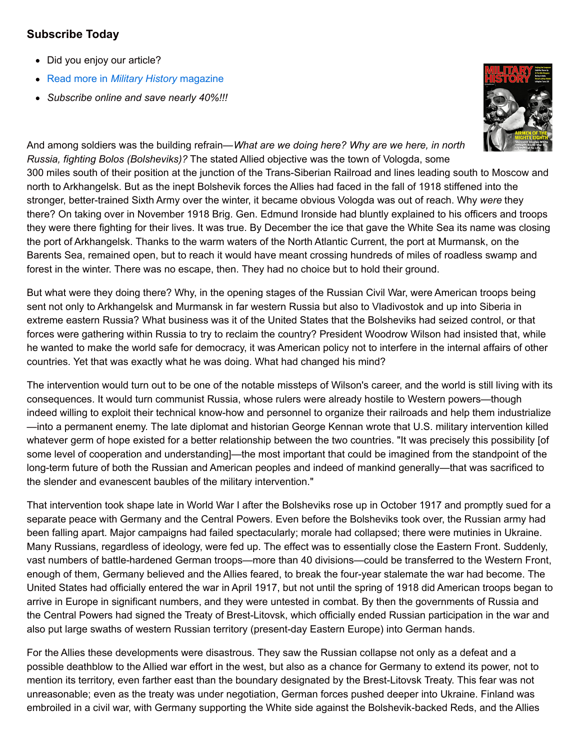## **Subscribe Today**

- Did you enjoy our article?
- Read more in *Military History* [magazine](https://ssl.palmcoastd.com/0942D/apps/DES_MHY?ikey=I**DP1)
- *Subscribe online and save nearly 40%!!!*



And among soldiers was the building refrain—*What are we doing here? Why are we here, in north Russia, fighting Bolos (Bolsheviks)?* The stated Allied objective was the town of Vologda, some 300 miles south of their position at the junction of the Trans-Siberian Railroad and lines leading south to Moscow and north to Arkhangelsk. But as the inept Bolshevik forces the Allies had faced in the fall of 1918 stiffened into the stronger, better-trained Sixth Army over the winter, it became obvious Vologda was out of reach. Why *were* they there? On taking over in November 1918 Brig. Gen. Edmund Ironside had bluntly explained to his officers and troops they were there fighting for their lives. It was true. By December the ice that gave the White Sea its name was closing the port of Arkhangelsk. Thanks to the warm waters of the North Atlantic Current, the port at Murmansk, on the Barents Sea, remained open, but to reach it would have meant crossing hundreds of miles of roadless swamp and forest in the winter. There was no escape, then. They had no choice but to hold their ground.

But what were they doing there? Why, in the opening stages of the Russian Civil War, were American troops being sent not only to Arkhangelsk and Murmansk in far western Russia but also to Vladivostok and up into Siberia in extreme eastern Russia? What business was it of the United States that the Bolsheviks had seized control, or that forces were gathering within Russia to try to reclaim the country? President Woodrow Wilson had insisted that, while he wanted to make the world safe for democracy, it was American policy not to interfere in the internal affairs of other countries. Yet that was exactly what he was doing. What had changed his mind?

The intervention would turn out to be one of the notable missteps of Wilson's career, and the world is still living with its consequences. It would turn communist Russia, whose rulers were already hostile to Western powers—though indeed willing to exploit their technical know-how and personnel to organize their railroads and help them industrialize —into a permanent enemy. The late diplomat and historian George Kennan wrote that U.S. military intervention killed whatever germ of hope existed for a better relationship between the two countries. "It was precisely this possibility [of some level of cooperation and understanding)—the most important that could be imagined from the standpoint of the long-term future of both the Russian and American peoples and indeed of mankind generally—that was sacrificed to the slender and evanescent baubles of the military intervention."

That intervention took shape late in World War I after the Bolsheviks rose up in October 1917 and promptly sued for a separate peace with Germany and the Central Powers. Even before the Bolsheviks took over, the Russian army had been falling apart. Major campaigns had failed spectacularly; morale had collapsed; there were mutinies in Ukraine. Many Russians, regardless of ideology, were fed up. The effect was to essentially close the Eastern Front. Suddenly, vast numbers of battle-hardened German troops—more than 40 divisions—could be transferred to the Western Front, enough of them, Germany believed and the Allies feared, to break the four-year stalemate the war had become. The United States had officially entered the war in April 1917, but not until the spring of 1918 did American troops began to arrive in Europe in significant numbers, and they were untested in combat. By then the governments of Russia and the Central Powers had signed the Treaty of Brest-Litovsk, which officially ended Russian participation in the war and also put large swaths of western Russian territory (present-day Eastern Europe) into German hands.

For the Allies these developments were disastrous. They saw the Russian collapse not only as a defeat and a possible deathblow to the Allied war effort in the west, but also as a chance for Germany to extend its power, not to mention its territory, even farther east than the boundary designated by the Brest-Litovsk Treaty. This fear was not unreasonable; even as the treaty was under negotiation, German forces pushed deeper into Ukraine. Finland was embroiled in a civil war, with Germany supporting the White side against the Bolshevik-backed Reds, and the Allies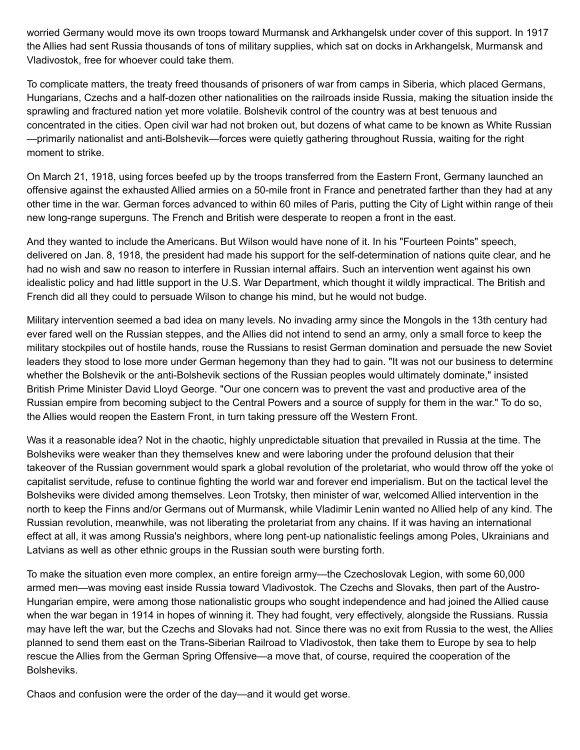worried Germany would move its own troops toward Murmansk and Arkhangelsk under cover of this support. In 1917 the Allies had sent Russia thousands of tons of military supplies, which sat on docks in Arkhangelsk, Murmansk and Vladivostok, free for whoever could take them.

To complicate matters, the treaty freed thousands of prisoners of war from camps in Siberia, which placed Germans, Hungarians, Czechs and a half-dozen other nationalities on the railroads inside Russia, making the situation inside the sprawling and fractured nation yet more volatile. Bolshevik control of the country was at best tenuous and concentrated in the cities. Open civil war had not broken out, but dozens of what came to be known as White Russian —primarily nationalist and anti-Bolshevik—forces were quietly gathering throughout Russia, waiting for the right moment to strike.

On March 21, 1918, using forces beefed up by the troops transferred from the Eastern Front, Germany launched an offensive against the exhausted Allied armies on a 50-mile front in France and penetrated farther than they had at any other time in the war. German forces advanced to within 60 miles of Paris, putting the City of Light within range of their new long-range superguns. The French and British were desperate to reopen a front in the east.

And they wanted to include the Americans. But Wilson would have none of it. In his "Fourteen Points" speech, delivered on Jan. 8, 1918, the president had made his support for the self-determination of nations quite clear, and he had no wish and saw no reason to interfere in Russian internal affairs. Such an intervention went against his own idealistic policy and had little support in the U.S. War Department, which thought it wildly impractical. The British and French did all they could to persuade Wilson to change his mind, but he would not budge.

Military intervention seemed a bad idea on many levels. No invading army since the Mongols in the 13th century had ever fared well on the Russian steppes, and the Allies did not intend to send an army, only a small force to keep the military stockpiles out of hostile hands, rouse the Russians to resist German domination and persuade the new Soviet leaders they stood to lose more under German hegemony than they had to gain. "It was not our business to determine whether the Bolshevik or the anti-Bolshevik sections of the Russian peoples would ultimately dominate," insisted British Prime Minister David Lloyd George. "Our one concern was to prevent the vast and productive area of the Russian empire from becoming subject to the Central Powers and a source of supply for them in the war." To do so, the Allies would reopen the Eastern Front, in turn taking pressure off the Western Front.

Was it a reasonable idea? Not in the chaotic, highly unpredictable situation that prevailed in Russia at the time. The Bolsheviks were weaker than they themselves knew and were laboring under the profound delusion that their takeover of the Russian government would spark a global revolution of the proletariat, who would throw off the yoke of capitalist servitude, refuse to continue fighting the world war and forever end imperialism. But on the tactical level the Bolsheviks were divided among themselves. Leon Trotsky, then minister of war, welcomed Allied intervention in the north to keep the Finns and/or Germans out of Murmansk, while Vladimir Lenin wanted no Allied help of any kind. The Russian revolution, meanwhile, was not liberating the proletariat from any chains. If it was having an international effect at all, it was among Russia's neighbors, where long pent-up nationalistic feelings among Poles, Ukrainians and Latvians as well as other ethnic groups in the Russian south were bursting forth.

To make the situation even more complex, an entire foreign army—the Czechoslovak Legion, with some 60,000 armed men—was moving east inside Russia toward Vladivostok. The Czechs and Slovaks, then part of the Austro-Hungarian empire, were among those nationalistic groups who sought independence and had joined the Allied cause when the war began in 1914 in hopes of winning it. They had fought, very effectively, alongside the Russians. Russia may have left the war, but the Czechs and Slovaks had not. Since there was no exit from Russia to the west, the Allies planned to send them east on the Trans-Siberian Railroad to Vladivostok, then take them to Europe by sea to help rescue the Allies from the German Spring Offensive—a move that, of course, required the cooperation of the Bolsheviks.

Chaos and confusion were the order of the day—and it would get worse.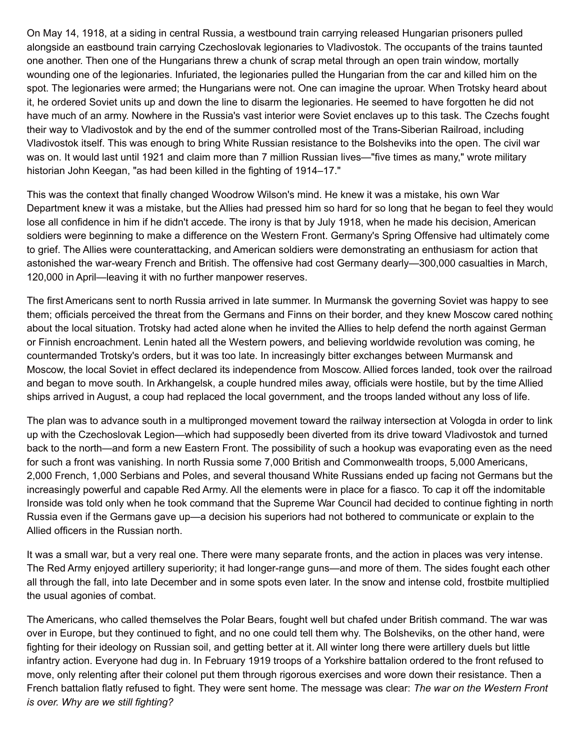On May 14, 1918, at a siding in central Russia, a westbound train carrying released Hungarian prisoners pulled alongside an eastbound train carrying Czechoslovak legionaries to Vladivostok. The occupants of the trains taunted one another. Then one of the Hungarians threw a chunk of scrap metal through an open train window, mortally wounding one of the legionaries. Infuriated, the legionaries pulled the Hungarian from the car and killed him on the spot. The legionaries were armed; the Hungarians were not. One can imagine the uproar. When Trotsky heard about it, he ordered Soviet units up and down the line to disarm the legionaries. He seemed to have forgotten he did not have much of an army. Nowhere in the Russia's vast interior were Soviet enclaves up to this task. The Czechs fought their way to Vladivostok and by the end of the summer controlled most of the Trans-Siberian Railroad, including Vladivostok itself. This was enough to bring White Russian resistance to the Bolsheviks into the open. The civil war was on. It would last until 1921 and claim more than 7 million Russian lives—"five times as many," wrote military historian John Keegan, "as had been killed in the fighting of 1914–17."

This was the context that finally changed Woodrow Wilson's mind. He knew it was a mistake, his own War Department knew it was a mistake, but the Allies had pressed him so hard for so long that he began to feel they would lose all confidence in him if he didn't accede. The irony is that by July 1918, when he made his decision, American soldiers were beginning to make a difference on the Western Front. Germany's Spring Offensive had ultimately come to grief. The Allies were counterattacking, and American soldiers were demonstrating an enthusiasm for action that astonished the war-weary French and British. The offensive had cost Germany dearly—300,000 casualties in March, 120,000 in April—leaving it with no further manpower reserves.

The first Americans sent to north Russia arrived in late summer. In Murmansk the governing Soviet was happy to see them; officials perceived the threat from the Germans and Finns on their border, and they knew Moscow cared nothing about the local situation. Trotsky had acted alone when he invited the Allies to help defend the north against German or Finnish encroachment. Lenin hated all the Western powers, and believing worldwide revolution was coming, he countermanded Trotsky's orders, but it was too late. In increasingly bitter exchanges between Murmansk and Moscow, the local Soviet in effect declared its independence from Moscow. Allied forces landed, took over the railroad and began to move south. In Arkhangelsk, a couple hundred miles away, officials were hostile, but by the time Allied ships arrived in August, a coup had replaced the local government, and the troops landed without any loss of life.

The plan was to advance south in a multipronged movement toward the railway intersection at Vologda in order to link up with the Czechoslovak Legion—which had supposedly been diverted from its drive toward Vladivostok and turned back to the north—and form a new Eastern Front. The possibility of such a hookup was evaporating even as the need for such a front was vanishing. In north Russia some 7,000 British and Commonwealth troops, 5,000 Americans, 2,000 French, 1,000 Serbians and Poles, and several thousand White Russians ended up facing not Germans but the increasingly powerful and capable Red Army. All the elements were in place for a fiasco. To cap it off the indomitable Ironside was told only when he took command that the Supreme War Council had decided to continue fighting in north Russia even if the Germans gave up—a decision his superiors had not bothered to communicate or explain to the Allied officers in the Russian north.

It was a small war, but a very real one. There were many separate fronts, and the action in places was very intense. The Red Army enjoyed artillery superiority; it had longer-range guns—and more of them. The sides fought each other all through the fall, into late December and in some spots even later. In the snow and intense cold, frostbite multiplied the usual agonies of combat.

The Americans, who called themselves the Polar Bears, fought well but chafed under British command. The war was over in Europe, but they continued to fight, and no one could tell them why. The Bolsheviks, on the other hand, were fighting for their ideology on Russian soil, and getting better at it. All winter long there were artillery duels but little infantry action. Everyone had dug in. In February 1919 troops of a Yorkshire battalion ordered to the front refused to move, only relenting after their colonel put them through rigorous exercises and wore down their resistance. Then a French battalion flatly refused to fight. They were sent home. The message was clear: *The war on the Western Front is over. Why are we still fighting?*